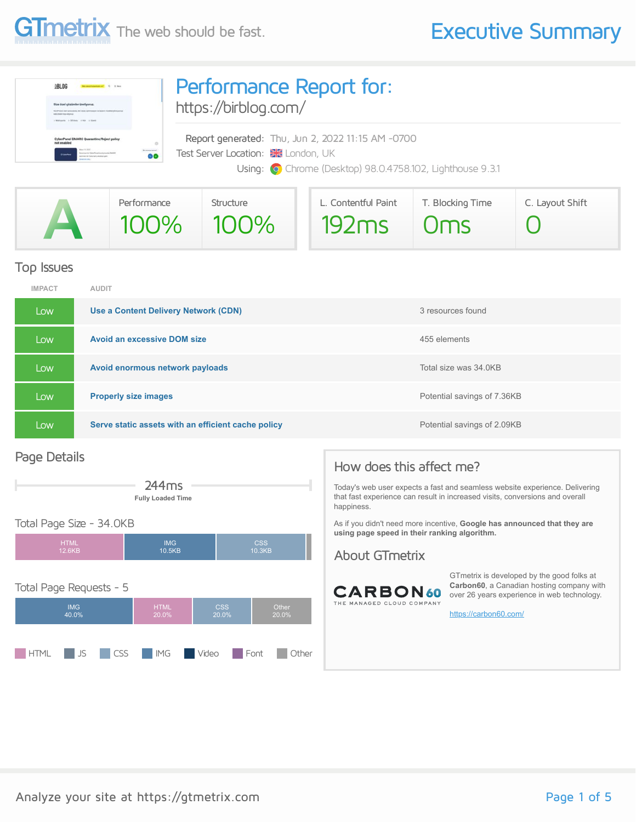

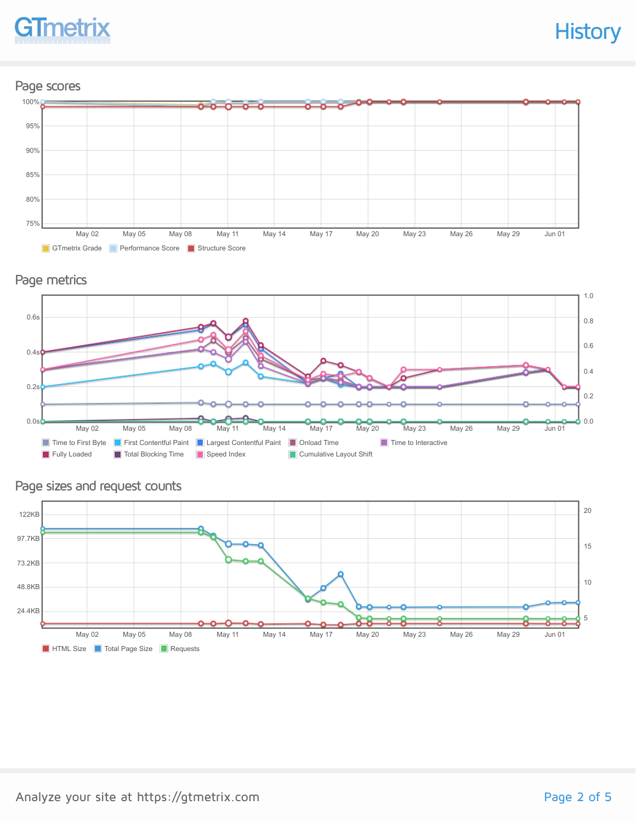

### Page scores



Page metrics





### Page sizes and request counts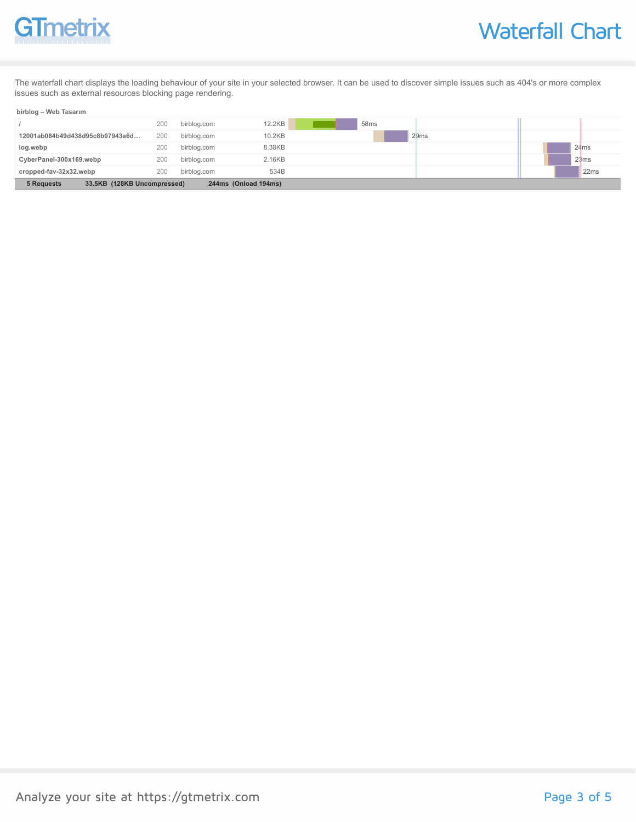

The waterfall chart displays the loading behaviour of your site in your selected browser. It can be used to discover simple issues such as 404's or more complex issues such as external resources blocking page rendering.

#### **birblog – Web Tasarım**

| 33.5KB (128KB Uncompressed)<br>5 Requests<br>244ms (Onload 194ms) |     |             |        |                  |      |  |
|-------------------------------------------------------------------|-----|-------------|--------|------------------|------|--|
| cropped-fav-32x32.webp                                            | 200 | birblog.com | 534B   |                  | 22ms |  |
| CyberPanel-300x169.webp                                           | 200 | birblog.com | 2.16KB |                  | 23ms |  |
| log.webp                                                          | 200 | birblog.com | 8.38KB |                  | 24ms |  |
| 12001ab084b49d438d95c8b07943a6d                                   | 200 | birblog.com | 10.2KB | 29ms             |      |  |
|                                                                   | 200 | birblog.com | 12.2KB | 58 <sub>ms</sub> |      |  |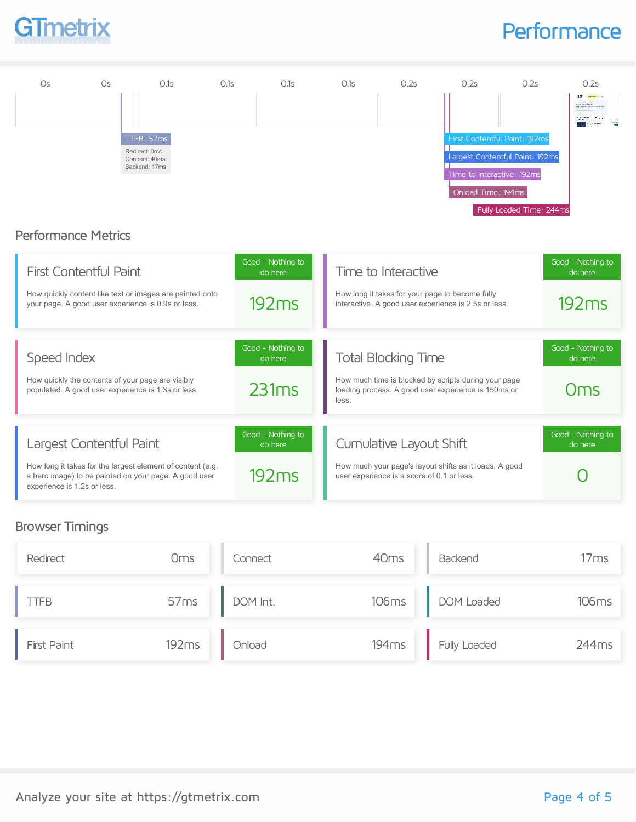

### **Performance**



#### Browser Timings

| Redirect           | Oms   | Connect        | 40 <sub>ms</sub> | Backend            | 17ms  |
|--------------------|-------|----------------|------------------|--------------------|-------|
| TFB                |       | 57ms DOM Int.  |                  | 106ms DOM Loaded   | 106ms |
| <b>First Paint</b> | 192ms | <b>Deoling</b> |                  | 194ms Fully Loaded | 244ms |